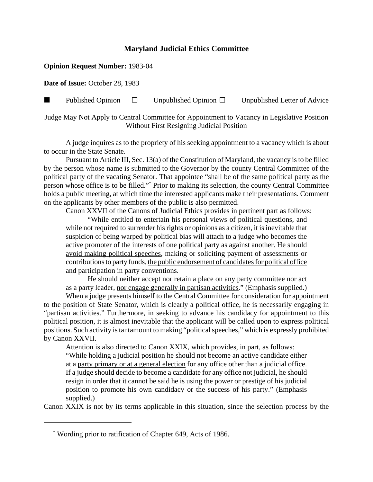## **Maryland Judicial Ethics Committee**

## **Opinion Request Number:** 1983-04

**Date of Issue:** October 28, 1983

**Published Opinion**  $\Box$  Unpublished Opinion  $\Box$  Unpublished Letter of Advice

Judge May Not Apply to Central Committee for Appointment to Vacancy in Legislative Position Without First Resigning Judicial Position

A judge inquires as to the propriety of his seeking appointment to a vacancy which is about to occur in the State Senate.

Pursuant to Article III, Sec. 13(a) of the Constitution of Maryland, the vacancy is to be filled by the person whose name is submitted to the Governor by the county Central Committee of the political party of the vacating Senator. That appointee "shall be of the same political party as the person whose office is to be filled."\* Prior to making its selection, the county Central Committee holds a public meeting, at which time the interested applicants make their presentations. Comment on the applicants by other members of the public is also permitted.

Canon XXVII of the Canons of Judicial Ethics provides in pertinent part as follows:

"While entitled to entertain his personal views of political questions, and while not required to surrender his rights or opinions as a citizen, it is inevitable that suspicion of being warped by political bias will attach to a judge who becomes the active promoter of the interests of one political party as against another. He should avoid making political speeches, making or soliciting payment of assessments or contributions to party funds, the public endorsement of candidates for political office and participation in party conventions.

He should neither accept nor retain a place on any party committee nor act as a party leader, nor engage generally in partisan activities." (Emphasis supplied.)

When a judge presents himself to the Central Committee for consideration for appointment to the position of State Senator, which is clearly a political office, he is necessarily engaging in "partisan activities." Furthermore, in seeking to advance his candidacy for appointment to this political position, it is almost inevitable that the applicant will be called upon to express political positions. Such activity is tantamount to making "political speeches," which is expressly prohibited by Canon XXVII.

Attention is also directed to Canon XXIX, which provides, in part, as follows: "While holding a judicial position he should not become an active candidate either at a party primary or at a general election for any office other than a judicial office. If a judge should decide to become a candidate for any office not judicial, he should resign in order that it cannot be said he is using the power or prestige of his judicial position to promote his own candidacy or the success of his party." (Emphasis supplied.)

Canon XXIX is not by its terms applicable in this situation, since the selection process by the

 <sup>\*</sup> Wording prior to ratification of Chapter 649, Acts of 1986.